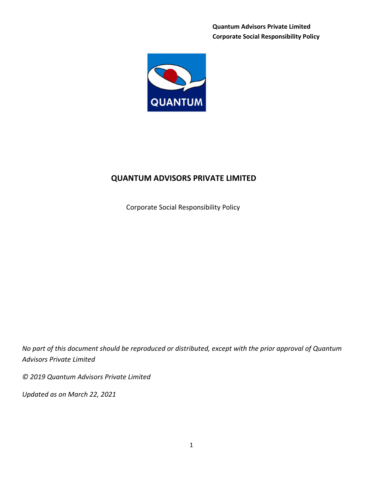Quantum Advisors Private Limited Corporate Social Responsibility Policy



# QUANTUM ADVISORS PRIVATE LIMITED

Corporate Social Responsibility Policy

No part of this document should be reproduced or distributed, except with the prior approval of Quantum Advisors Private Limited

© 2019 Quantum Advisors Private Limited

Updated as on March 22, 2021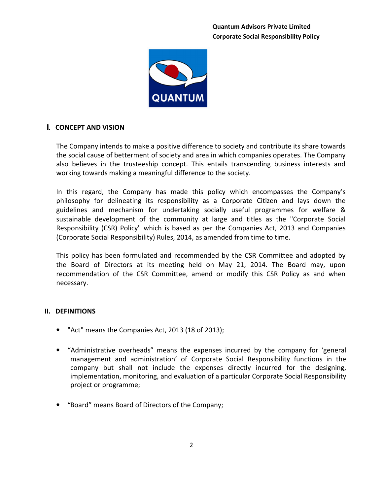

# I. CONCEPT AND VISION

The Company intends to make a positive difference to society and contribute its share towards the social cause of betterment of society and area in which companies operates. The Company also believes in the trusteeship concept. This entails transcending business interests and working towards making a meaningful difference to the society.

In this regard, the Company has made this policy which encompasses the Company's philosophy for delineating its responsibility as a Corporate Citizen and lays down the guidelines and mechanism for undertaking socially useful programmes for welfare & sustainable development of the community at large and titles as the "Corporate Social Responsibility (CSR) Policy" which is based as per the Companies Act, 2013 and Companies (Corporate Social Responsibility) Rules, 2014, as amended from time to time.

This policy has been formulated and recommended by the CSR Committee and adopted by the Board of Directors at its meeting held on May 21, 2014. The Board may, upon recommendation of the CSR Committee, amend or modify this CSR Policy as and when necessary.

# II. DEFINITIONS

- "Act" means the Companies Act, 2013 (18 of 2013);
- "Administrative overheads" means the expenses incurred by the company for 'general management and administration' of Corporate Social Responsibility functions in the company but shall not include the expenses directly incurred for the designing, implementation, monitoring, and evaluation of a particular Corporate Social Responsibility project or programme;
- "Board" means Board of Directors of the Company;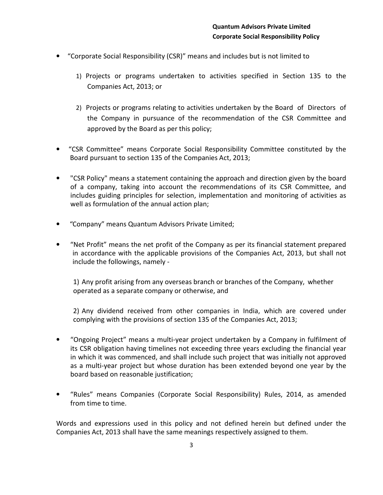- "Corporate Social Responsibility (CSR)" means and includes but is not limited to
	- 1) Projects or programs undertaken to activities specified in Section 135 to the Companies Act, 2013; or
	- 2) Projects or programs relating to activities undertaken by the Board of Directors of the Company in pursuance of the recommendation of the CSR Committee and approved by the Board as per this policy;
- "CSR Committee" means Corporate Social Responsibility Committee constituted by the Board pursuant to section 135 of the Companies Act, 2013;
- "CSR Policy" means a statement containing the approach and direction given by the board of a company, taking into account the recommendations of its CSR Committee, and includes guiding principles for selection, implementation and monitoring of activities as well as formulation of the annual action plan;
- "Company" means Quantum Advisors Private Limited;
- "Net Profit" means the net profit of the Company as per its financial statement prepared in accordance with the applicable provisions of the Companies Act, 2013, but shall not include the followings, namely -

1) Any profit arising from any overseas branch or branches of the Company, whether operated as a separate company or otherwise, and

2) Any dividend received from other companies in India, which are covered under complying with the provisions of section 135 of the Companies Act, 2013;

- "Ongoing Project" means a multi-year project undertaken by a Company in fulfilment of its CSR obligation having timelines not exceeding three years excluding the financial year in which it was commenced, and shall include such project that was initially not approved as a multi-year project but whose duration has been extended beyond one year by the board based on reasonable justification;
- "Rules" means Companies (Corporate Social Responsibility) Rules, 2014, as amended from time to time.

Words and expressions used in this policy and not defined herein but defined under the Companies Act, 2013 shall have the same meanings respectively assigned to them.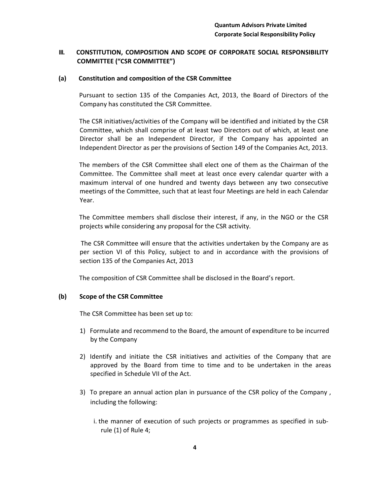# III. CONSTITUTION, COMPOSITION AND SCOPE OF CORPORATE SOCIAL RESPONSIBILITY COMMITTEE ("CSR COMMITTEE")

### (a) Constitution and composition of the CSR Committee

 Pursuant to section 135 of the Companies Act, 2013, the Board of Directors of the Company has constituted the CSR Committee.

 The CSR initiatives/activities of the Company will be identified and initiated by the CSR Committee, which shall comprise of at least two Directors out of which, at least one Director shall be an Independent Director, if the Company has appointed an Independent Director as per the provisions of Section 149 of the Companies Act, 2013.

 The members of the CSR Committee shall elect one of them as the Chairman of the Committee. The Committee shall meet at least once every calendar quarter with a maximum interval of one hundred and twenty days between any two consecutive meetings of the Committee, such that at least four Meetings are held in each Calendar Year.

 The Committee members shall disclose their interest, if any, in the NGO or the CSR projects while considering any proposal for the CSR activity.

 The CSR Committee will ensure that the activities undertaken by the Company are as per section VI of this Policy, subject to and in accordance with the provisions of section 135 of the Companies Act, 2013

The composition of CSR Committee shall be disclosed in the Board's report.

#### (b) Scope of the CSR Committee

The CSR Committee has been set up to:

- 1) Formulate and recommend to the Board, the amount of expenditure to be incurred by the Company
- 2) Identify and initiate the CSR initiatives and activities of the Company that are approved by the Board from time to time and to be undertaken in the areas specified in Schedule VII of the Act.
- 3) To prepare an annual action plan in pursuance of the CSR policy of the Company , including the following:
	- i. the manner of execution of such projects or programmes as specified in subrule (1) of Rule 4;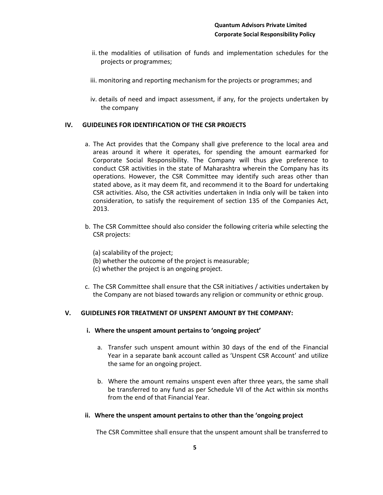- ii. the modalities of utilisation of funds and implementation schedules for the projects or programmes;
- iii. monitoring and reporting mechanism for the projects or programmes; and
- iv. details of need and impact assessment, if any, for the projects undertaken by the company

## IV. GUIDELINES FOR IDENTIFICATION OF THE CSR PROJECTS

- a. The Act provides that the Company shall give preference to the local area and areas around it where it operates, for spending the amount earmarked for Corporate Social Responsibility. The Company will thus give preference to conduct CSR activities in the state of Maharashtra wherein the Company has its operations. However, the CSR Committee may identify such areas other than stated above, as it may deem fit, and recommend it to the Board for undertaking CSR activities. Also, the CSR activities undertaken in India only will be taken into consideration, to satisfy the requirement of section 135 of the Companies Act, 2013.
- b. The CSR Committee should also consider the following criteria while selecting the CSR projects:
	- (a) scalability of the project;
	- (b) whether the outcome of the project is measurable;
	- (c) whether the project is an ongoing project.
- c. The CSR Committee shall ensure that the CSR initiatives / activities undertaken by the Company are not biased towards any religion or community or ethnic group.

## V. GUIDELINES FOR TREATMENT OF UNSPENT AMOUNT BY THE COMPANY:

- i. Where the unspent amount pertains to 'ongoing project'
	- a. Transfer such unspent amount within 30 days of the end of the Financial Year in a separate bank account called as 'Unspent CSR Account' and utilize the same for an ongoing project.
	- b. Where the amount remains unspent even after three years, the same shall be transferred to any fund as per Schedule VII of the Act within six months from the end of that Financial Year.

#### ii. Where the unspent amount pertains to other than the 'ongoing project

The CSR Committee shall ensure that the unspent amount shall be transferred to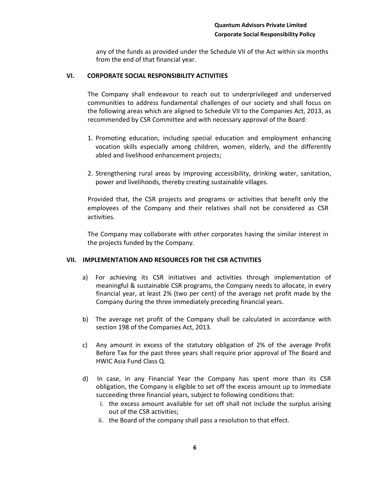any of the funds as provided under the Schedule VII of the Act within six months from the end of that financial year.

## VI. CORPORATE SOCIAL RESPONSIBILITY ACTIVITIES

The Company shall endeavour to reach out to underprivileged and underserved communities to address fundamental challenges of our society and shall focus on the following areas which are aligned to Schedule VII to the Companies Act, 2013, as recommended by CSR Committee and with necessary approval of the Board:

- 1. Promoting education, including special education and employment enhancing vocation skills especially among children, women, elderly, and the differently abled and livelihood enhancement projects;
- 2. Strengthening rural areas by improving accessibility, drinking water, sanitation, power and livelihoods, thereby creating sustainable villages.

Provided that, the CSR projects and programs or activities that benefit only the employees of the Company and their relatives shall not be considered as CSR activities.

The Company may collaborate with other corporates having the similar interest in the projects funded by the Company.

#### VII. IMPLEMENTATION AND RESOURCES FOR THE CSR ACTIVITIES

- a) For achieving its CSR initiatives and activities through implementation of meaningful & sustainable CSR programs, the Company needs to allocate, in every financial year, at least 2% (two per cent) of the average net profit made by the Company during the three immediately preceding financial years.
- b) The average net profit of the Company shall be calculated in accordance with section 198 of the Companies Act, 2013.
- c) Any amount in excess of the statutory obligation of 2% of the average Profit Before Tax for the past three years shall require prior approval of The Board and HWIC Asia Fund Class Q.
- d) In case, in any Financial Year the Company has spent more than its CSR obligation, the Company is eligible to set off the excess amount up to immediate succeeding three financial years, subject to following conditions that:
	- i. the excess amount available for set off shall not include the surplus arising out of the CSR activities;
	- ii. the Board of the company shall pass a resolution to that effect.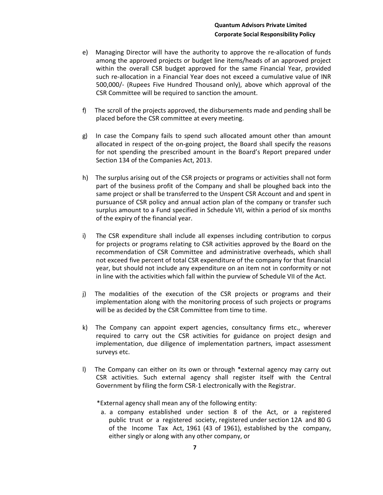- e) Managing Director will have the authority to approve the re-allocation of funds among the approved projects or budget line items/heads of an approved project within the overall CSR budget approved for the same Financial Year, provided such re-allocation in a Financial Year does not exceed a cumulative value of INR 500,000/- (Rupees Five Hundred Thousand only), above which approval of the CSR Committee will be required to sanction the amount.
- f) The scroll of the projects approved, the disbursements made and pending shall be placed before the CSR committee at every meeting.
- g) In case the Company fails to spend such allocated amount other than amount allocated in respect of the on-going project, the Board shall specify the reasons for not spending the prescribed amount in the Board's Report prepared under Section 134 of the Companies Act, 2013.
- h) The surplus arising out of the CSR projects or programs or activities shall not form part of the business profit of the Company and shall be ploughed back into the same project or shall be transferred to the Unspent CSR Account and and spent in pursuance of CSR policy and annual action plan of the company or transfer such surplus amount to a Fund specified in Schedule VII, within a period of six months of the expiry of the financial year.
- i) The CSR expenditure shall include all expenses including contribution to corpus for projects or programs relating to CSR activities approved by the Board on the recommendation of CSR Committee and administrative overheads, which shall not exceed five percent of total CSR expenditure of the company for that financial year, but should not include any expenditure on an item not in conformity or not in line with the activities which fall within the purview of Schedule VII of the Act.
- j) The modalities of the execution of the CSR projects or programs and their implementation along with the monitoring process of such projects or programs will be as decided by the CSR Committee from time to time.
- k) The Company can appoint expert agencies, consultancy firms etc., wherever required to carry out the CSR activities for guidance on project design and implementation, due diligence of implementation partners, impact assessment surveys etc.
- l) The Company can either on its own or through \*external agency may carry out CSR activities. Such external agency shall register itself with the Central Government by filing the form CSR-1 electronically with the Registrar.

\*External agency shall mean any of the following entity:

a. a company established under section 8 of the Act, or a registered public trust or a registered society, registered under section 12A and 80 G of the Income Tax Act, 1961 (43 of 1961), established by the company, either singly or along with any other company, or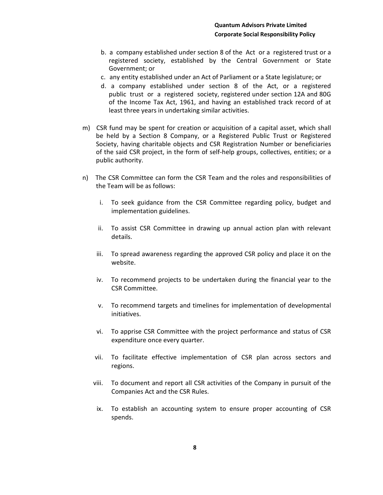- b. a company established under section 8 of the Act or a registered trust or a registered society, established by the Central Government or State Government; or
- c. any entity established under an Act of Parliament or a State legislature; or
- d. a company established under section 8 of the Act, or a registered public trust or a registered society, registered under section 12A and 80G of the Income Tax Act, 1961, and having an established track record of at least three years in undertaking similar activities.
- m) CSR fund may be spent for creation or acquisition of a capital asset, which shall be held by a Section 8 Company, or a Registered Public Trust or Registered Society, having charitable objects and CSR Registration Number or beneficiaries of the said CSR project, in the form of self-help groups, collectives, entities; or a public authority.
- n) The CSR Committee can form the CSR Team and the roles and responsibilities of the Team will be as follows:
	- i. To seek guidance from the CSR Committee regarding policy, budget and implementation guidelines.
	- ii. To assist CSR Committee in drawing up annual action plan with relevant details.
	- iii. To spread awareness regarding the approved CSR policy and place it on the website.
	- iv. To recommend projects to be undertaken during the financial year to the CSR Committee.
	- v. To recommend targets and timelines for implementation of developmental initiatives.
	- vi. To apprise CSR Committee with the project performance and status of CSR expenditure once every quarter.
	- vii. To facilitate effective implementation of CSR plan across sectors and regions.
	- viii. To document and report all CSR activities of the Company in pursuit of the Companies Act and the CSR Rules.
	- ix. To establish an accounting system to ensure proper accounting of CSR spends.